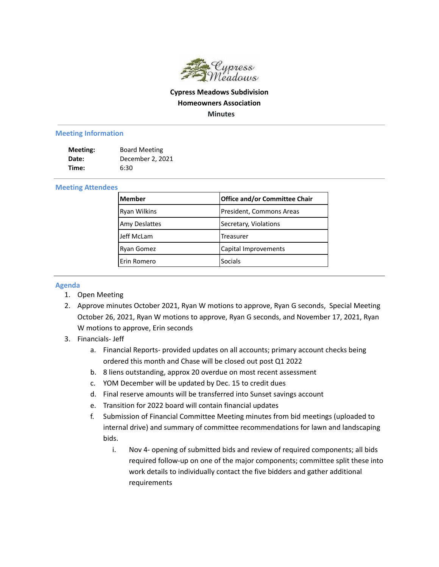

## **Cypress Meadows Subdivision Homeowners Association Minutes**

## **Meeting Information**

| Meeting: | <b>Board Meeting</b> |
|----------|----------------------|
| Date:    | December 2, 2021     |
| Time:    | 6:30                 |

## **Meeting Attendees**

| Member               | <b>Office and/or Committee Chair</b> |
|----------------------|--------------------------------------|
| <b>Ryan Wilkins</b>  | President, Commons Areas             |
| <b>Amy Deslattes</b> | Secretary, Violations                |
| Jeff McLam           | Treasurer                            |
| <b>Ryan Gomez</b>    | Capital Improvements                 |
| Erin Romero          | <b>Socials</b>                       |

## **Agenda**

- 1. Open Meeting
- 2. Approve minutes October 2021, Ryan W motions to approve, Ryan G seconds, Special Meeting October 26, 2021, Ryan W motions to approve, Ryan G seconds, and November 17, 2021, Ryan W motions to approve, Erin seconds
- 3. Financials- Jeff
	- a. Financial Reports- provided updates on all accounts; primary account checks being ordered this month and Chase will be closed out post Q1 2022
	- b. 8 liens outstanding, approx 20 overdue on most recent assessment
	- c. YOM December will be updated by Dec. 15 to credit dues
	- d. Final reserve amounts will be transferred into Sunset savings account
	- e. Transition for 2022 board will contain financial updates
	- f. Submission of Financial Committee Meeting minutes from bid meetings (uploaded to internal drive) and summary of committee recommendations for lawn and landscaping bids.
		- i. Nov 4- opening of submitted bids and review of required components; all bids required follow-up on one of the major components; committee split these into work details to individually contact the five bidders and gather additional requirements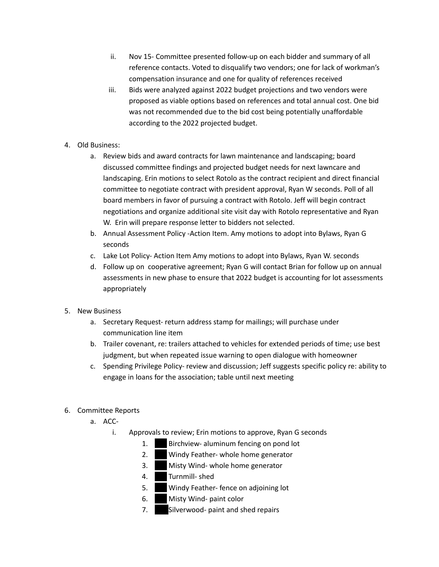- ii. Nov 15- Committee presented follow-up on each bidder and summary of all reference contacts. Voted to disqualify two vendors; one for lack of workman's compensation insurance and one for quality of references received
- iii. Bids were analyzed against 2022 budget projections and two vendors were proposed as viable options based on references and total annual cost. One bid was not recommended due to the bid cost being potentially unaffordable according to the 2022 projected budget.
- 4. Old Business:
	- a. Review bids and award contracts for lawn maintenance and landscaping; board discussed committee findings and projected budget needs for next lawncare and landscaping. Erin motions to select Rotolo as the contract recipient and direct financial committee to negotiate contract with president approval, Ryan W seconds. Poll of all board members in favor of pursuing a contract with Rotolo. Jeff will begin contract negotiations and organize additional site visit day with Rotolo representative and Ryan W. Erin will prepare response letter to bidders not selected.
	- b. Annual Assessment Policy -Action Item. Amy motions to adopt into Bylaws, Ryan G seconds
	- c. Lake Lot Policy- Action Item Amy motions to adopt into Bylaws, Ryan W. seconds
	- d. Follow up on cooperative agreement; Ryan G will contact Brian for follow up on annual assessments in new phase to ensure that 2022 budget is accounting for lot assessments appropriately
- 5. New Business
	- a. Secretary Request- return address stamp for mailings; will purchase under communication line item
	- b. Trailer covenant, re: trailers attached to vehicles for extended periods of time; use best judgment, but when repeated issue warning to open dialogue with homeowner
	- c. Spending Privilege Policy- review and discussion; Jeff suggests specific policy re: ability to engage in loans for the association; table until next meeting
- 6. Committee Reports
	- a. ACC
		- i. Approvals to review; Erin motions to approve, Ryan G seconds
			- 1. Birchview- aluminum fencing on pond lot
			- 2. Windy Feather- whole home generator
			- 3. Misty Wind- whole home generator
			- 4. Turnmill- shed
			- 5. Windy Feather- fence on adjoining lot
			- 6. Misty Wind- paint color
			- 7. Silverwood- paint and shed repairs